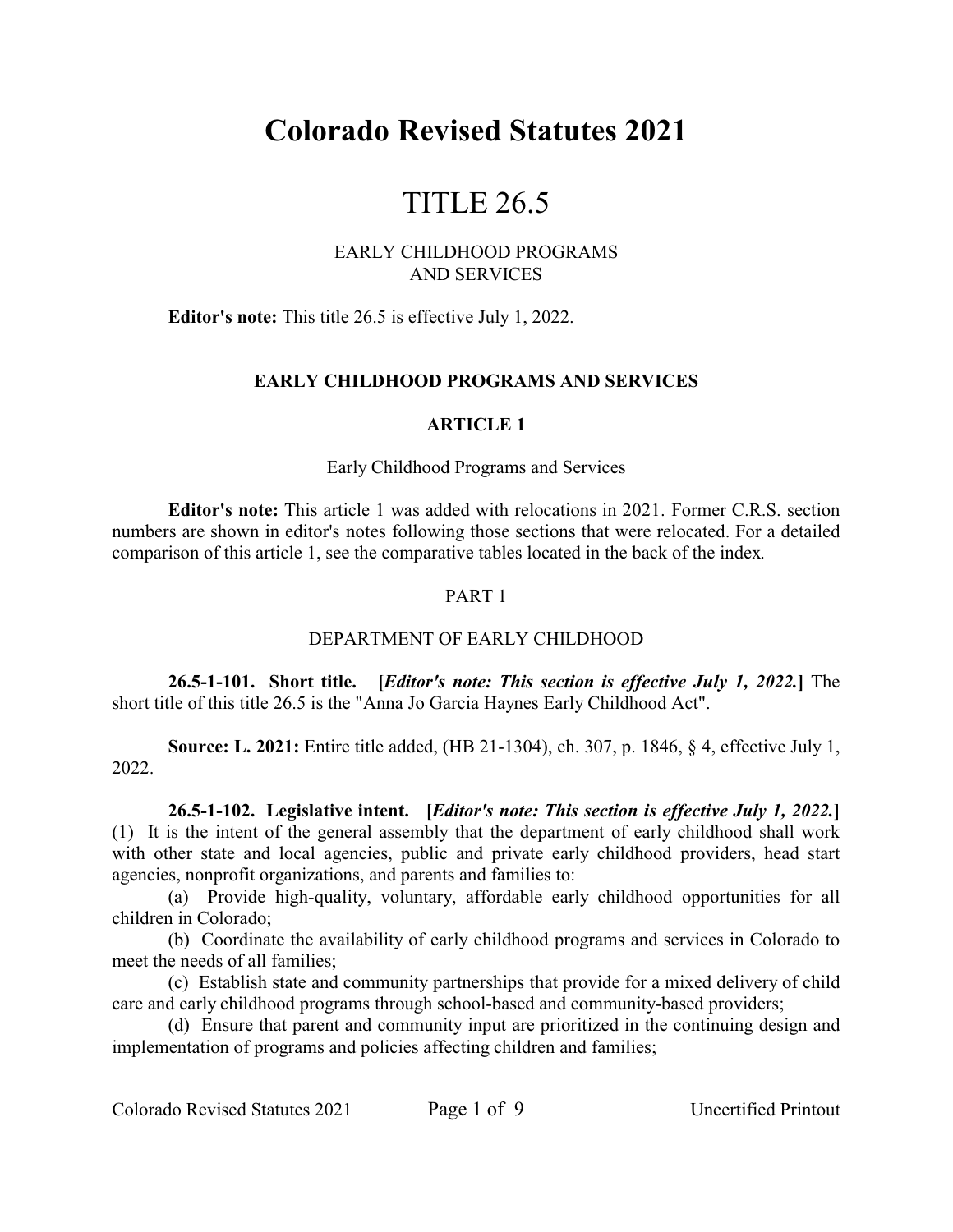# **Colorado Revised Statutes 2021**

# TITLE 26.5

### EARLY CHILDHOOD PROGRAMS AND SERVICES

**Editor's note:** This title 26.5 is effective July 1, 2022.

## **EARLY CHILDHOOD PROGRAMS AND SERVICES**

### **ARTICLE 1**

#### Early Childhood Programs and Services

**Editor's note:** This article 1 was added with relocations in 2021. Former C.R.S. section numbers are shown in editor's notes following those sections that were relocated. For a detailed comparison of this article 1, see the comparative tables located in the back of the index.

### PART 1

## DEPARTMENT OF EARLY CHILDHOOD

**26.5-1-101. Short title. [***Editor's note: This section is effective July 1, 2022.***]** The short title of this title 26.5 is the "Anna Jo Garcia Haynes Early Childhood Act".

**Source: L. 2021:** Entire title added, (HB 21-1304), ch. 307, p. 1846, § 4, effective July 1, 2022.

**26.5-1-102. Legislative intent. [***Editor's note: This section is effective July 1, 2022.***]** (1) It is the intent of the general assembly that the department of early childhood shall work with other state and local agencies, public and private early childhood providers, head start agencies, nonprofit organizations, and parents and families to:

(a) Provide high-quality, voluntary, affordable early childhood opportunities for all children in Colorado;

(b) Coordinate the availability of early childhood programs and services in Colorado to meet the needs of all families;

(c) Establish state and community partnerships that provide for a mixed delivery of child care and early childhood programs through school-based and community-based providers;

(d) Ensure that parent and community input are prioritized in the continuing design and implementation of programs and policies affecting children and families;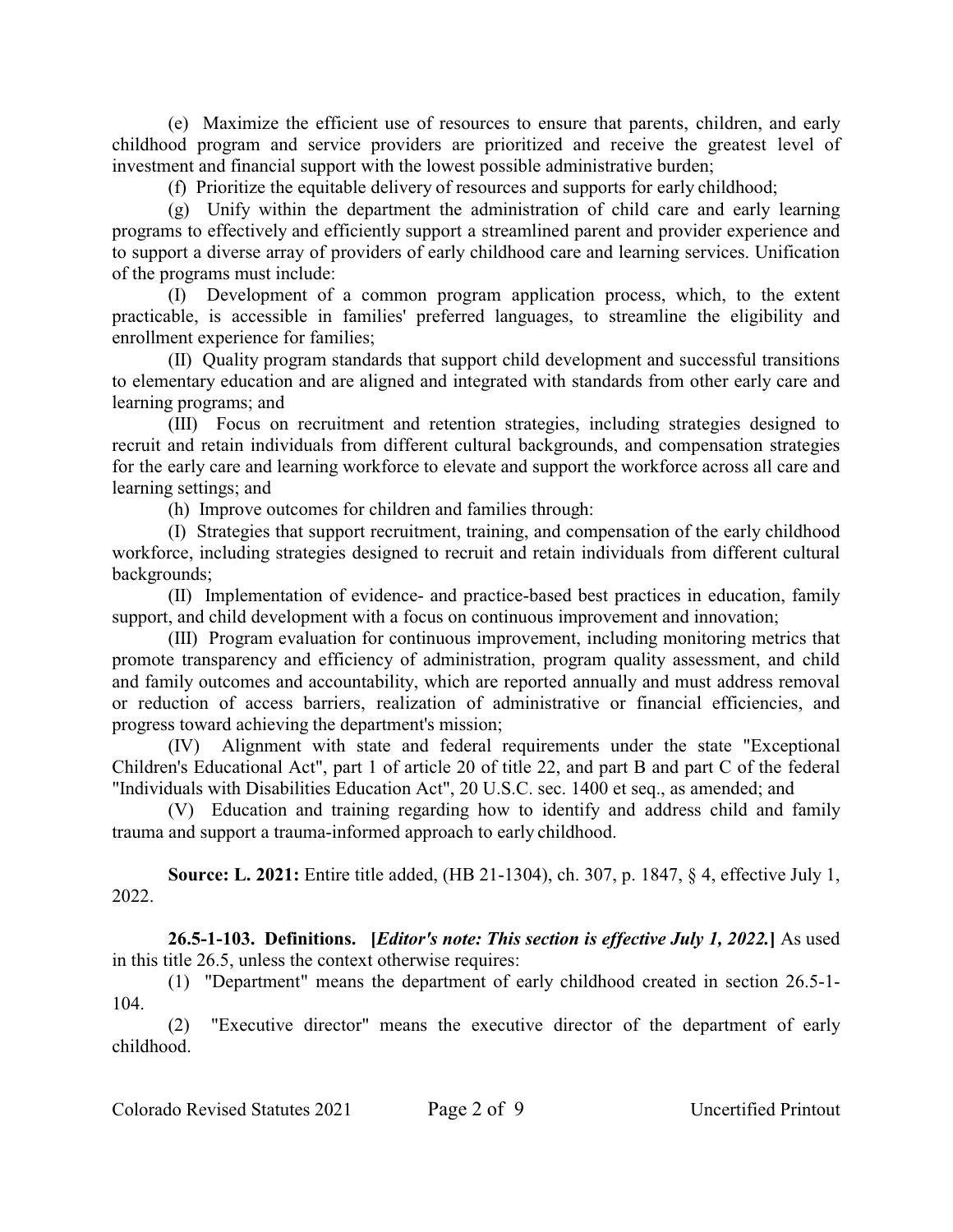(e) Maximize the efficient use of resources to ensure that parents, children, and early childhood program and service providers are prioritized and receive the greatest level of investment and financial support with the lowest possible administrative burden;

(f) Prioritize the equitable delivery of resources and supports for early childhood;

(g) Unify within the department the administration of child care and early learning programs to effectively and efficiently support a streamlined parent and provider experience and to support a diverse array of providers of early childhood care and learning services. Unification of the programs must include:

(I) Development of a common program application process, which, to the extent practicable, is accessible in families' preferred languages, to streamline the eligibility and enrollment experience for families;

(II) Quality program standards that support child development and successful transitions to elementary education and are aligned and integrated with standards from other early care and learning programs; and

(III) Focus on recruitment and retention strategies, including strategies designed to recruit and retain individuals from different cultural backgrounds, and compensation strategies for the early care and learning workforce to elevate and support the workforce across all care and learning settings; and

(h) Improve outcomes for children and families through:

(I) Strategies that support recruitment, training, and compensation of the early childhood workforce, including strategies designed to recruit and retain individuals from different cultural backgrounds;

(II) Implementation of evidence- and practice-based best practices in education, family support, and child development with a focus on continuous improvement and innovation;

(III) Program evaluation for continuous improvement, including monitoring metrics that promote transparency and efficiency of administration, program quality assessment, and child and family outcomes and accountability, which are reported annually and must address removal or reduction of access barriers, realization of administrative or financial efficiencies, and progress toward achieving the department's mission;

(IV) Alignment with state and federal requirements under the state "Exceptional Children's Educational Act", part 1 of article 20 of title 22, and part B and part C of the federal "Individuals with Disabilities Education Act", 20 U.S.C. sec. 1400 et seq., as amended; and

(V) Education and training regarding how to identify and address child and family trauma and support a trauma-informed approach to early childhood.

**Source: L. 2021:** Entire title added, (HB 21-1304), ch. 307, p. 1847, § 4, effective July 1, 2022.

**26.5-1-103. Definitions. [***Editor's note: This section is effective July 1, 2022.***]** As used in this title 26.5, unless the context otherwise requires:

(1) "Department" means the department of early childhood created in section 26.5-1- 104.

(2) "Executive director" means the executive director of the department of early childhood.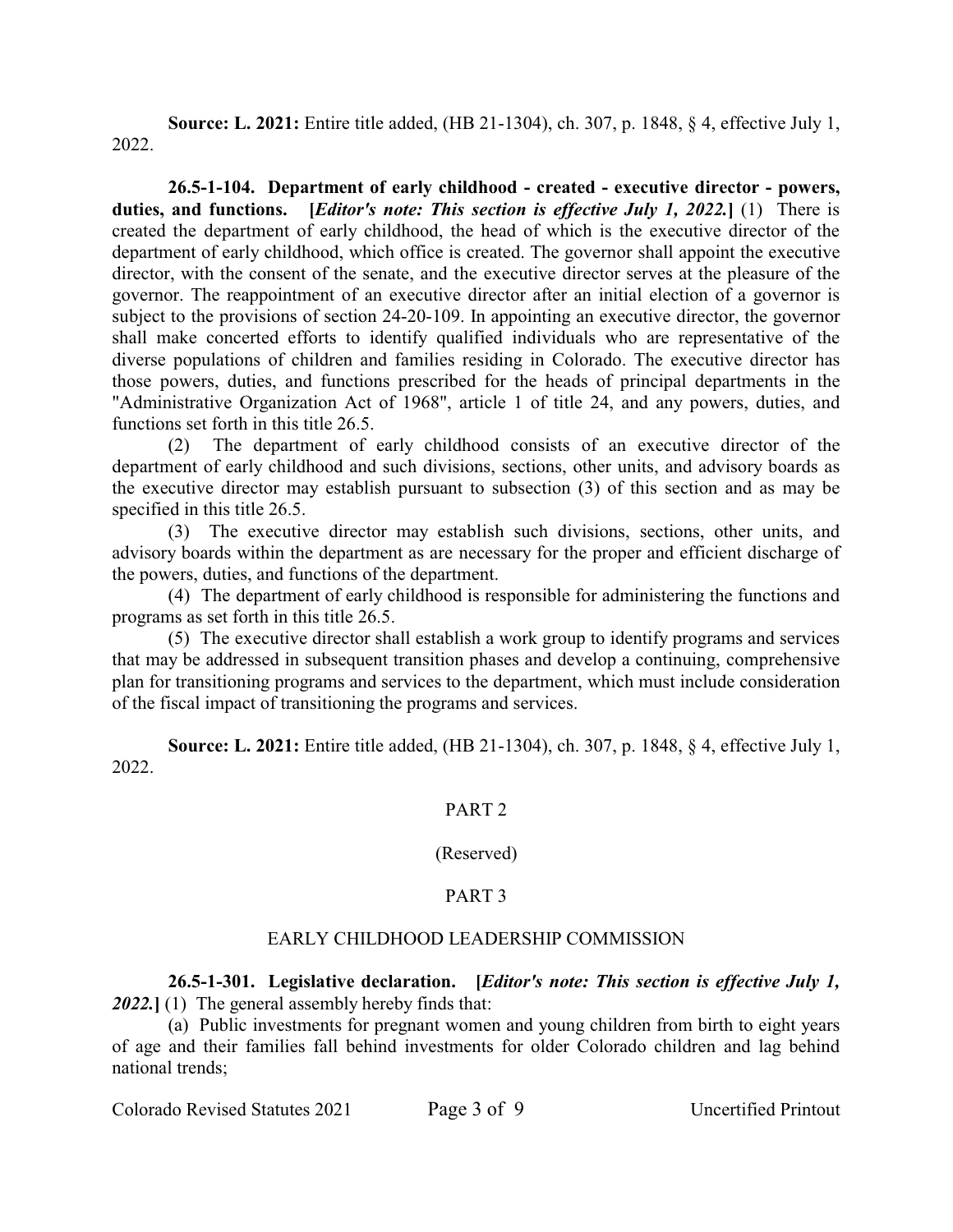**Source: L. 2021:** Entire title added, (HB 21-1304), ch. 307, p. 1848, § 4, effective July 1, 2022.

**26.5-1-104. Department of early childhood - created - executive director - powers, duties, and functions. [***Editor's note: This section is effective July 1, 2022.***]** (1) There is created the department of early childhood, the head of which is the executive director of the department of early childhood, which office is created. The governor shall appoint the executive director, with the consent of the senate, and the executive director serves at the pleasure of the governor. The reappointment of an executive director after an initial election of a governor is subject to the provisions of section 24-20-109. In appointing an executive director, the governor shall make concerted efforts to identify qualified individuals who are representative of the diverse populations of children and families residing in Colorado. The executive director has those powers, duties, and functions prescribed for the heads of principal departments in the "Administrative Organization Act of 1968", article 1 of title 24, and any powers, duties, and functions set forth in this title 26.5.

(2) The department of early childhood consists of an executive director of the department of early childhood and such divisions, sections, other units, and advisory boards as the executive director may establish pursuant to subsection (3) of this section and as may be specified in this title 26.5.

(3) The executive director may establish such divisions, sections, other units, and advisory boards within the department as are necessary for the proper and efficient discharge of the powers, duties, and functions of the department.

(4) The department of early childhood is responsible for administering the functions and programs as set forth in this title 26.5.

(5) The executive director shall establish a work group to identify programs and services that may be addressed in subsequent transition phases and develop a continuing, comprehensive plan for transitioning programs and services to the department, which must include consideration of the fiscal impact of transitioning the programs and services.

**Source: L. 2021:** Entire title added, (HB 21-1304), ch. 307, p. 1848, § 4, effective July 1, 2022.

## PART 2

#### (Reserved)

## PART 3

## EARLY CHILDHOOD LEADERSHIP COMMISSION

**26.5-1-301. Legislative declaration. [***Editor's note: This section is effective July 1, 2022.***]** (1) The general assembly hereby finds that:

(a) Public investments for pregnant women and young children from birth to eight years of age and their families fall behind investments for older Colorado children and lag behind national trends;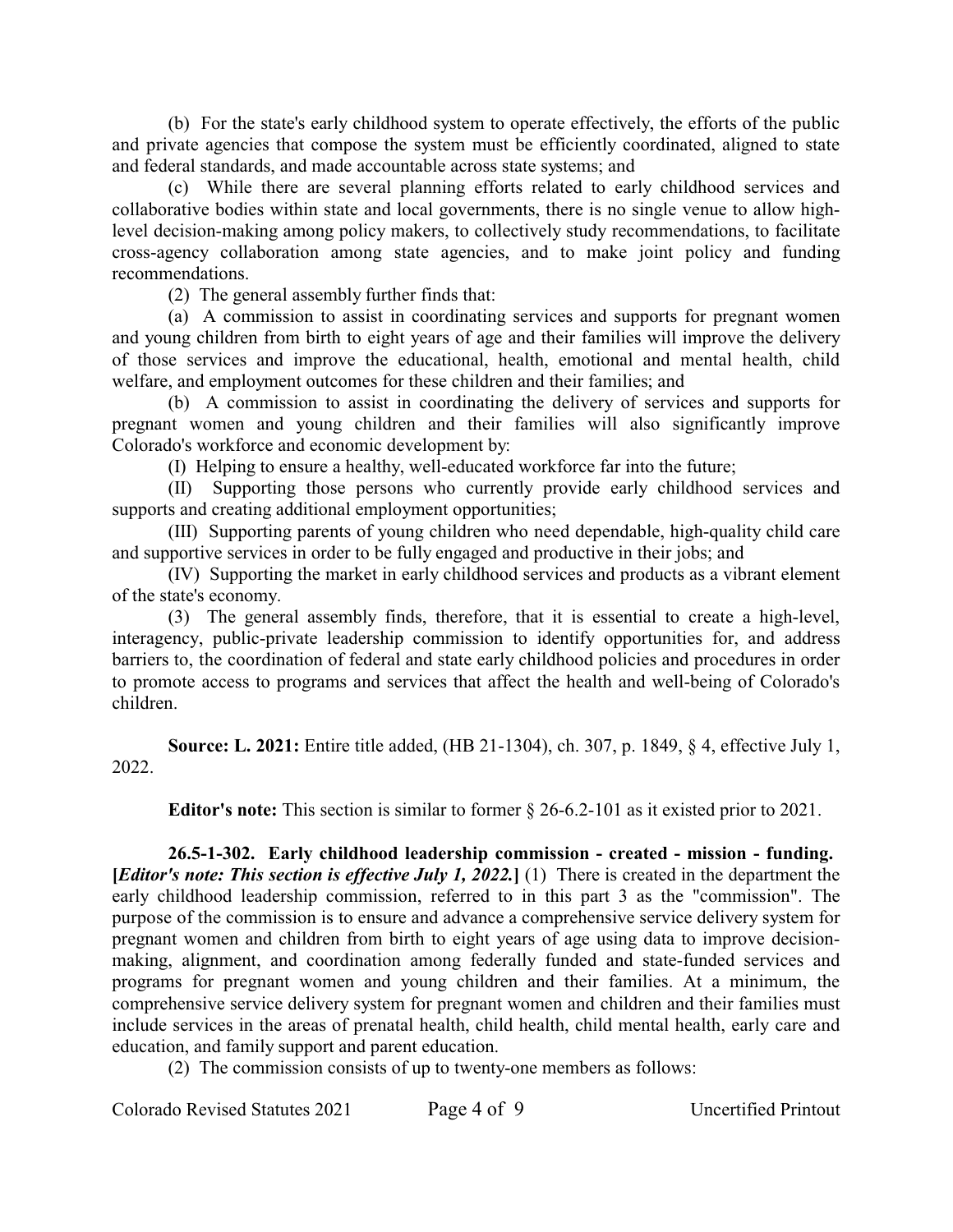(b) For the state's early childhood system to operate effectively, the efforts of the public and private agencies that compose the system must be efficiently coordinated, aligned to state and federal standards, and made accountable across state systems; and

(c) While there are several planning efforts related to early childhood services and collaborative bodies within state and local governments, there is no single venue to allow highlevel decision-making among policy makers, to collectively study recommendations, to facilitate cross-agency collaboration among state agencies, and to make joint policy and funding recommendations.

(2) The general assembly further finds that:

(a) A commission to assist in coordinating services and supports for pregnant women and young children from birth to eight years of age and their families will improve the delivery of those services and improve the educational, health, emotional and mental health, child welfare, and employment outcomes for these children and their families; and

(b) A commission to assist in coordinating the delivery of services and supports for pregnant women and young children and their families will also significantly improve Colorado's workforce and economic development by:

(I) Helping to ensure a healthy, well-educated workforce far into the future;

(II) Supporting those persons who currently provide early childhood services and supports and creating additional employment opportunities;

(III) Supporting parents of young children who need dependable, high-quality child care and supportive services in order to be fully engaged and productive in their jobs; and

(IV) Supporting the market in early childhood services and products as a vibrant element of the state's economy.

(3) The general assembly finds, therefore, that it is essential to create a high-level, interagency, public-private leadership commission to identify opportunities for, and address barriers to, the coordination of federal and state early childhood policies and procedures in order to promote access to programs and services that affect the health and well-being of Colorado's children.

**Source: L. 2021:** Entire title added, (HB 21-1304), ch. 307, p. 1849, § 4, effective July 1, 2022.

**Editor's note:** This section is similar to former § 26-6.2-101 as it existed prior to 2021.

**26.5-1-302. Early childhood leadership commission - created - mission - funding. [***Editor's note: This section is effective July 1, 2022.***]** (1) There is created in the department the early childhood leadership commission, referred to in this part 3 as the "commission". The purpose of the commission is to ensure and advance a comprehensive service delivery system for pregnant women and children from birth to eight years of age using data to improve decisionmaking, alignment, and coordination among federally funded and state-funded services and programs for pregnant women and young children and their families. At a minimum, the comprehensive service delivery system for pregnant women and children and their families must include services in the areas of prenatal health, child health, child mental health, early care and education, and family support and parent education.

(2) The commission consists of up to twenty-one members as follows:

Colorado Revised Statutes 2021 Page 4 of 9 Uncertified Printout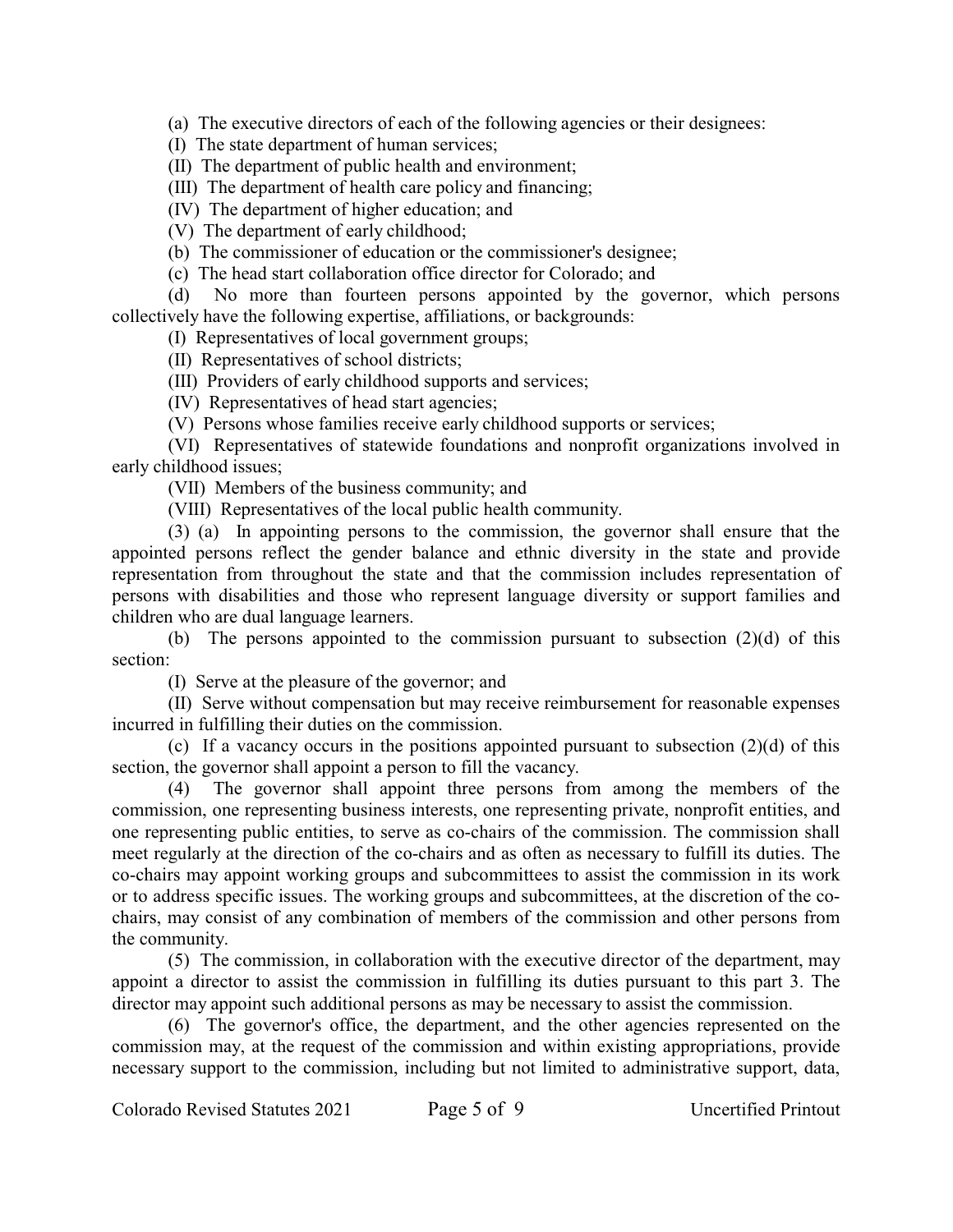(a) The executive directors of each of the following agencies or their designees:

(I) The state department of human services;

(II) The department of public health and environment;

(III) The department of health care policy and financing;

(IV) The department of higher education; and

(V) The department of early childhood;

(b) The commissioner of education or the commissioner's designee;

(c) The head start collaboration office director for Colorado; and

(d) No more than fourteen persons appointed by the governor, which persons collectively have the following expertise, affiliations, or backgrounds:

(I) Representatives of local government groups;

(II) Representatives of school districts;

(III) Providers of early childhood supports and services;

(IV) Representatives of head start agencies;

(V) Persons whose families receive early childhood supports or services;

(VI) Representatives of statewide foundations and nonprofit organizations involved in early childhood issues;

(VII) Members of the business community; and

(VIII) Representatives of the local public health community.

(3) (a) In appointing persons to the commission, the governor shall ensure that the appointed persons reflect the gender balance and ethnic diversity in the state and provide representation from throughout the state and that the commission includes representation of persons with disabilities and those who represent language diversity or support families and children who are dual language learners.

(b) The persons appointed to the commission pursuant to subsection (2)(d) of this section:

(I) Serve at the pleasure of the governor; and

(II) Serve without compensation but may receive reimbursement for reasonable expenses incurred in fulfilling their duties on the commission.

(c) If a vacancy occurs in the positions appointed pursuant to subsection (2)(d) of this section, the governor shall appoint a person to fill the vacancy.

(4) The governor shall appoint three persons from among the members of the commission, one representing business interests, one representing private, nonprofit entities, and one representing public entities, to serve as co-chairs of the commission. The commission shall meet regularly at the direction of the co-chairs and as often as necessary to fulfill its duties. The co-chairs may appoint working groups and subcommittees to assist the commission in its work or to address specific issues. The working groups and subcommittees, at the discretion of the cochairs, may consist of any combination of members of the commission and other persons from the community.

(5) The commission, in collaboration with the executive director of the department, may appoint a director to assist the commission in fulfilling its duties pursuant to this part 3. The director may appoint such additional persons as may be necessary to assist the commission.

(6) The governor's office, the department, and the other agencies represented on the commission may, at the request of the commission and within existing appropriations, provide necessary support to the commission, including but not limited to administrative support, data,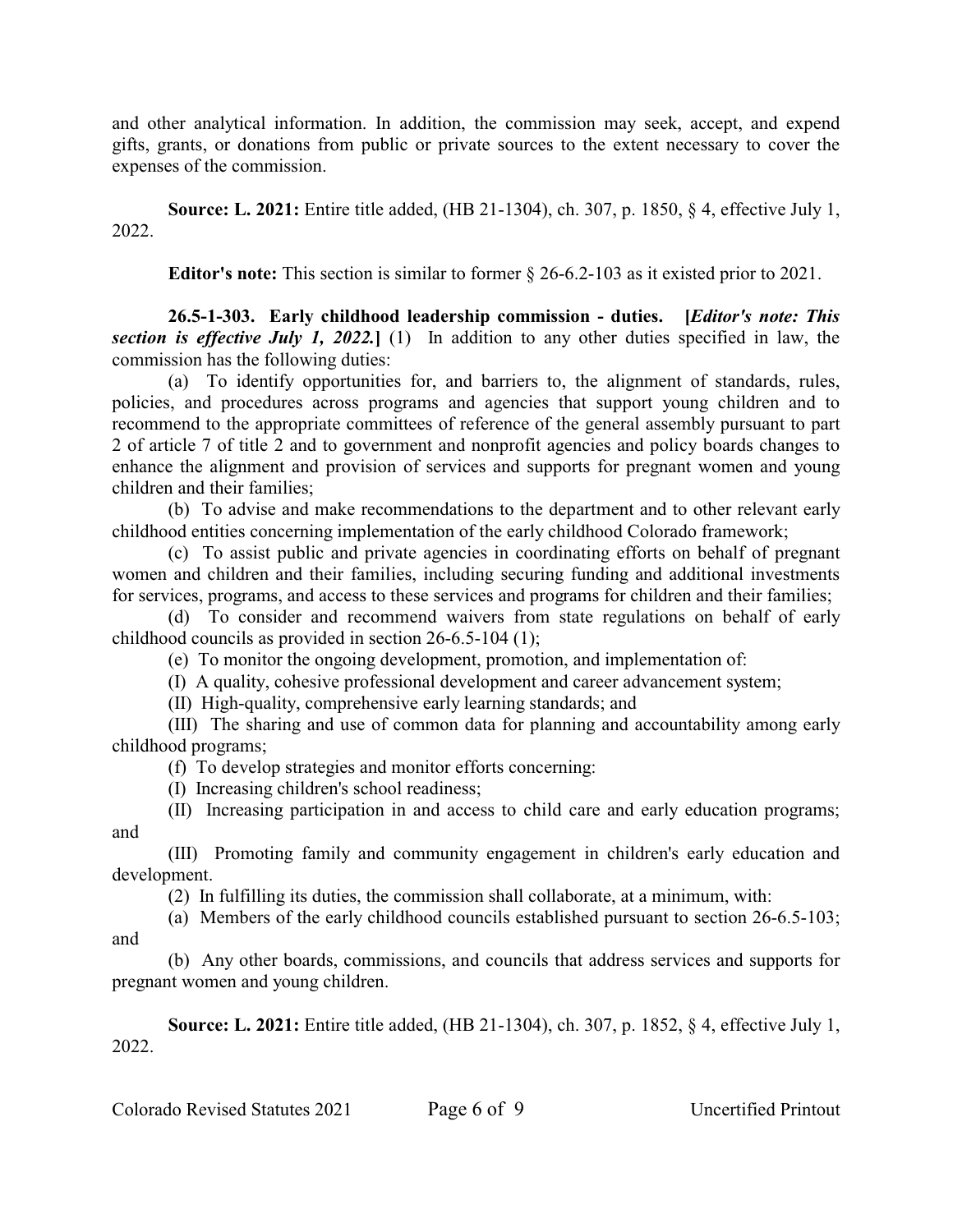and other analytical information. In addition, the commission may seek, accept, and expend gifts, grants, or donations from public or private sources to the extent necessary to cover the expenses of the commission.

**Source: L. 2021:** Entire title added, (HB 21-1304), ch. 307, p. 1850, § 4, effective July 1, 2022.

**Editor's note:** This section is similar to former § 26-6.2-103 as it existed prior to 2021.

**26.5-1-303. Early childhood leadership commission - duties. [***Editor's note: This section is effective July 1, 2022.***]** (1) In addition to any other duties specified in law, the commission has the following duties:

(a) To identify opportunities for, and barriers to, the alignment of standards, rules, policies, and procedures across programs and agencies that support young children and to recommend to the appropriate committees of reference of the general assembly pursuant to part 2 of article 7 of title 2 and to government and nonprofit agencies and policy boards changes to enhance the alignment and provision of services and supports for pregnant women and young children and their families;

(b) To advise and make recommendations to the department and to other relevant early childhood entities concerning implementation of the early childhood Colorado framework;

(c) To assist public and private agencies in coordinating efforts on behalf of pregnant women and children and their families, including securing funding and additional investments for services, programs, and access to these services and programs for children and their families;

(d) To consider and recommend waivers from state regulations on behalf of early childhood councils as provided in section 26-6.5-104 (1);

(e) To monitor the ongoing development, promotion, and implementation of:

(I) A quality, cohesive professional development and career advancement system;

(II) High-quality, comprehensive early learning standards; and

(III) The sharing and use of common data for planning and accountability among early childhood programs;

(f) To develop strategies and monitor efforts concerning:

(I) Increasing children's school readiness;

(II) Increasing participation in and access to child care and early education programs; and

(III) Promoting family and community engagement in children's early education and development.

(2) In fulfilling its duties, the commission shall collaborate, at a minimum, with:

(a) Members of the early childhood councils established pursuant to section 26-6.5-103; and

(b) Any other boards, commissions, and councils that address services and supports for pregnant women and young children.

**Source: L. 2021:** Entire title added, (HB 21-1304), ch. 307, p. 1852, § 4, effective July 1, 2022.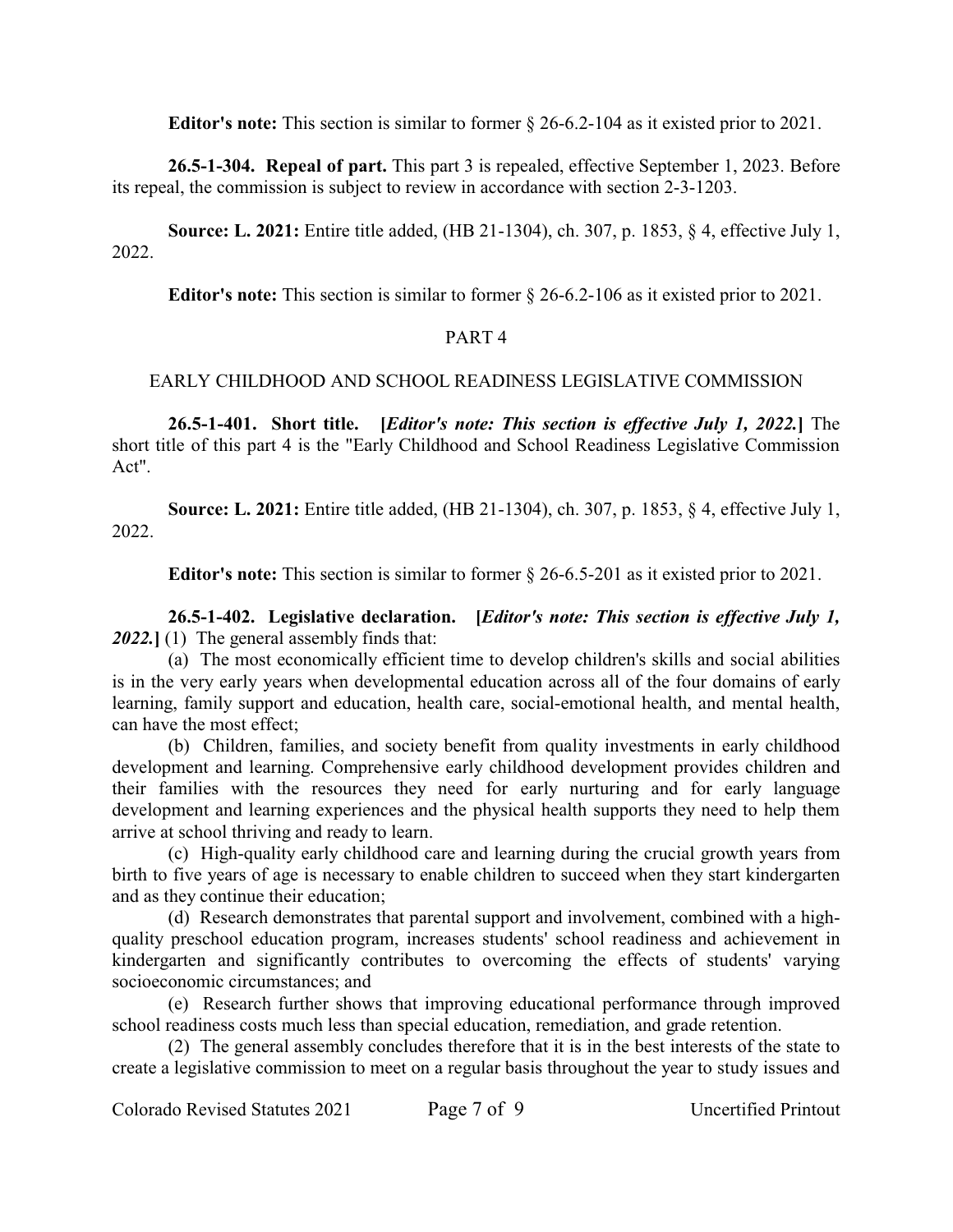**Editor's note:** This section is similar to former § 26-6.2-104 as it existed prior to 2021.

**26.5-1-304. Repeal of part.** This part 3 is repealed, effective September 1, 2023. Before its repeal, the commission is subject to review in accordance with section 2-3-1203.

**Source: L. 2021:** Entire title added, (HB 21-1304), ch. 307, p. 1853, § 4, effective July 1, 2022.

**Editor's note:** This section is similar to former § 26-6.2-106 as it existed prior to 2021.

### PART 4

### EARLY CHILDHOOD AND SCHOOL READINESS LEGISLATIVE COMMISSION

**26.5-1-401. Short title. [***Editor's note: This section is effective July 1, 2022.***]** The short title of this part 4 is the "Early Childhood and School Readiness Legislative Commission Act".

**Source: L. 2021:** Entire title added, (HB 21-1304), ch. 307, p. 1853, § 4, effective July 1, 2022.

**Editor's note:** This section is similar to former § 26-6.5-201 as it existed prior to 2021.

**26.5-1-402. Legislative declaration. [***Editor's note: This section is effective July 1, 2022.***]** (1) The general assembly finds that:

(a) The most economically efficient time to develop children's skills and social abilities is in the very early years when developmental education across all of the four domains of early learning, family support and education, health care, social-emotional health, and mental health, can have the most effect;

(b) Children, families, and society benefit from quality investments in early childhood development and learning. Comprehensive early childhood development provides children and their families with the resources they need for early nurturing and for early language development and learning experiences and the physical health supports they need to help them arrive at school thriving and ready to learn.

(c) High-quality early childhood care and learning during the crucial growth years from birth to five years of age is necessary to enable children to succeed when they start kindergarten and as they continue their education;

(d) Research demonstrates that parental support and involvement, combined with a highquality preschool education program, increases students' school readiness and achievement in kindergarten and significantly contributes to overcoming the effects of students' varying socioeconomic circumstances; and

(e) Research further shows that improving educational performance through improved school readiness costs much less than special education, remediation, and grade retention.

(2) The general assembly concludes therefore that it is in the best interests of the state to create a legislative commission to meet on a regular basis throughout the year to study issues and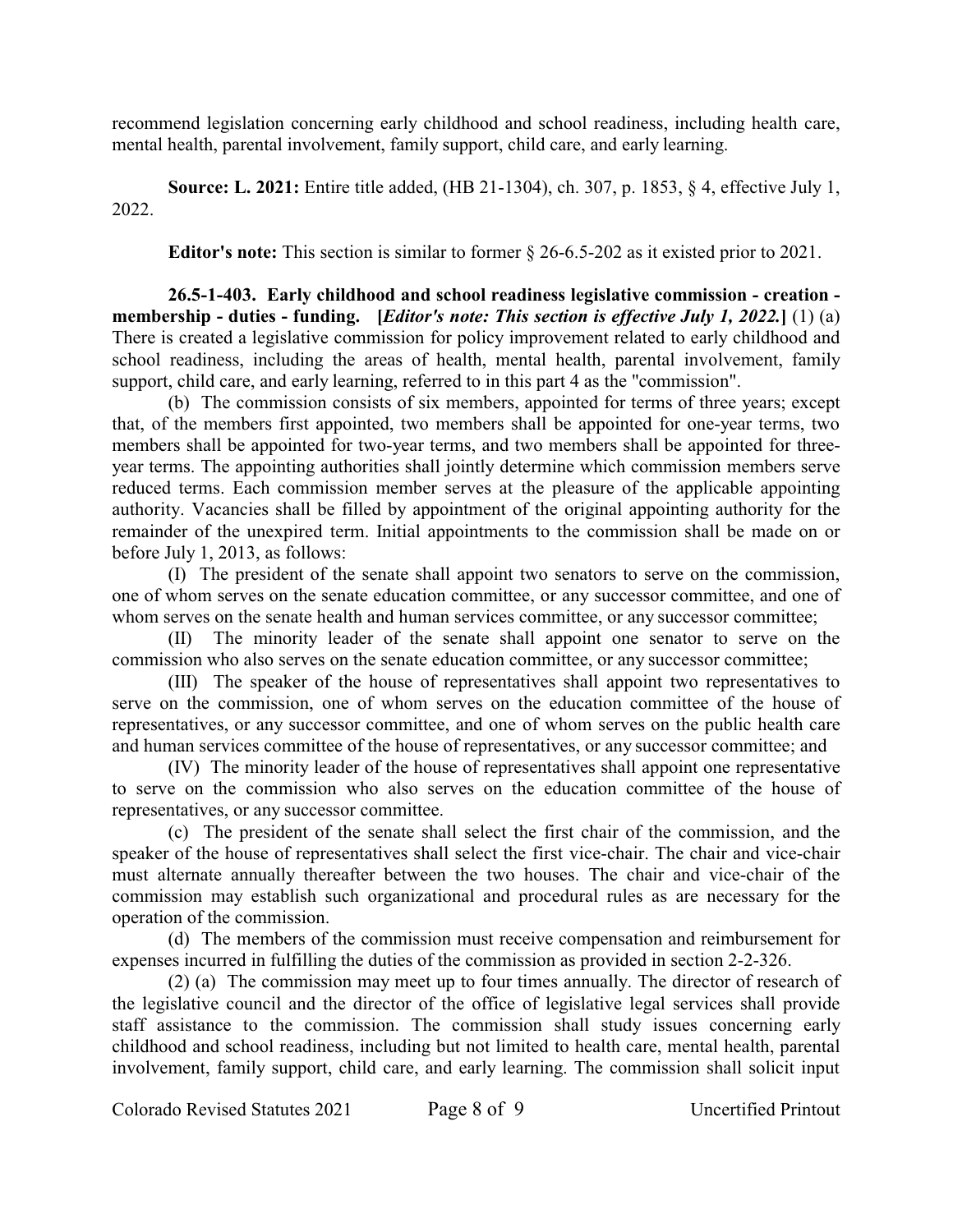recommend legislation concerning early childhood and school readiness, including health care, mental health, parental involvement, family support, child care, and early learning.

**Source: L. 2021:** Entire title added, (HB 21-1304), ch. 307, p. 1853, § 4, effective July 1, 2022.

**Editor's note:** This section is similar to former § 26-6.5-202 as it existed prior to 2021.

**26.5-1-403. Early childhood and school readiness legislative commission - creation membership - duties - funding. [***Editor's note: This section is effective July 1, 2022.***]** (1) (a) There is created a legislative commission for policy improvement related to early childhood and school readiness, including the areas of health, mental health, parental involvement, family support, child care, and early learning, referred to in this part 4 as the "commission".

(b) The commission consists of six members, appointed for terms of three years; except that, of the members first appointed, two members shall be appointed for one-year terms, two members shall be appointed for two-year terms, and two members shall be appointed for threeyear terms. The appointing authorities shall jointly determine which commission members serve reduced terms. Each commission member serves at the pleasure of the applicable appointing authority. Vacancies shall be filled by appointment of the original appointing authority for the remainder of the unexpired term. Initial appointments to the commission shall be made on or before July 1, 2013, as follows:

(I) The president of the senate shall appoint two senators to serve on the commission, one of whom serves on the senate education committee, or any successor committee, and one of whom serves on the senate health and human services committee, or any successor committee;

(II) The minority leader of the senate shall appoint one senator to serve on the commission who also serves on the senate education committee, or any successor committee;

(III) The speaker of the house of representatives shall appoint two representatives to serve on the commission, one of whom serves on the education committee of the house of representatives, or any successor committee, and one of whom serves on the public health care and human services committee of the house of representatives, or any successor committee; and

(IV) The minority leader of the house of representatives shall appoint one representative to serve on the commission who also serves on the education committee of the house of representatives, or any successor committee.

(c) The president of the senate shall select the first chair of the commission, and the speaker of the house of representatives shall select the first vice-chair. The chair and vice-chair must alternate annually thereafter between the two houses. The chair and vice-chair of the commission may establish such organizational and procedural rules as are necessary for the operation of the commission.

(d) The members of the commission must receive compensation and reimbursement for expenses incurred in fulfilling the duties of the commission as provided in section 2-2-326.

(2) (a) The commission may meet up to four times annually. The director of research of the legislative council and the director of the office of legislative legal services shall provide staff assistance to the commission. The commission shall study issues concerning early childhood and school readiness, including but not limited to health care, mental health, parental involvement, family support, child care, and early learning. The commission shall solicit input